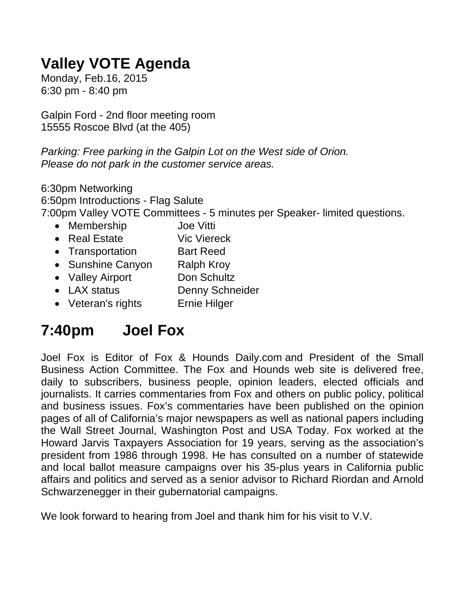## **Valley VOTE Agenda**

Monday, Feb.16, 2015 6:30 pm - 8:40 pm

Galpin Ford - 2nd floor meeting room 15555 Roscoe Blvd (at the 405)

*Parking: Free parking in the Galpin Lot on the West side of Orion. Please do not park in the customer service areas.*

6:30pm Networking 6:50pm Introductions - Flag Salute 7:00pm Valley VOTE Committees - 5 minutes per Speaker- limited questions.

- Membership Joe Vitti
- Real Estate Vic Viereck
- Transportation Bart Reed
- Sunshine Canyon Ralph Kroy
- Valley Airport Don Schultz
- LAX status Denny Schneider
- Veteran's rights Ernie Hilger

## **7:40pm Joel Fox**

Joel Fox is Editor of Fox & Hounds Daily.com and President of the Small Business Action Committee. The Fox and Hounds web site is delivered free, daily to subscribers, business people, opinion leaders, elected officials and journalists. It carries commentaries from Fox and others on public policy, political and business issues. Fox's commentaries have been published on the opinion pages of all of California's major newspapers as well as national papers including the Wall Street Journal, Washington Post and USA Today. Fox worked at the Howard Jarvis Taxpayers Association for 19 years, serving as the association's president from 1986 through 1998. He has consulted on a number of statewide and local ballot measure campaigns over his 35-plus years in California public affairs and politics and served as a senior advisor to Richard Riordan and Arnold Schwarzenegger in their gubernatorial campaigns.

We look forward to hearing from Joel and thank him for his visit to V.V.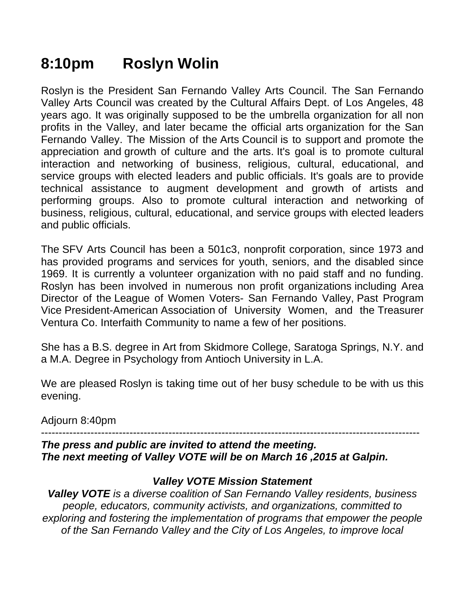## **8:10pm Roslyn Wolin**

Roslyn is the President San Fernando Valley Arts Council. The San Fernando Valley Arts Council was created by the Cultural Affairs Dept. of Los Angeles, 48 years ago. It was originally supposed to be the umbrella organization for all non profits in the Valley, and later became the official arts organization for the San Fernando Valley. The Mission of the Arts Council is to support and promote the appreciation and growth of culture and the arts. It's goal is to promote cultural interaction and networking of business, religious, cultural, educational, and service groups with elected leaders and public officials. It's goals are to provide technical assistance to augment development and growth of artists and performing groups. Also to promote cultural interaction and networking of business, religious, cultural, educational, and service groups with elected leaders and public officials.

The SFV Arts Council has been a 501c3, nonprofit corporation, since 1973 and has provided programs and services for youth, seniors, and the disabled since 1969. It is currently a volunteer organization with no paid staff and no funding. Roslyn has been involved in numerous non profit organizations including Area Director of the League of Women Voters- San Fernando Valley, Past Program Vice President-American Association of University Women, and the Treasurer Ventura Co. Interfaith Community to name a few of her positions.

She has a B.S. degree in Art from Skidmore College, Saratoga Springs, N.Y. and a M.A. Degree in Psychology from Antioch University in L.A.

We are pleased Roslyn is taking time out of her busy schedule to be with us this evening.

Adjourn 8:40pm

-----------------------------------------------------------------------------------------------------------

*The press and public are invited to attend the meeting. The next meeting of Valley VOTE will be on March 16 ,2015 at Galpin.*

## *Valley VOTE Mission Statement*

*Valley VOTE is a diverse coalition of San Fernando Valley residents, business people, educators, community activists, and organizations, committed to exploring and fostering the implementation of programs that empower the people of the San Fernando Valley and the City of Los Angeles, to improve local*